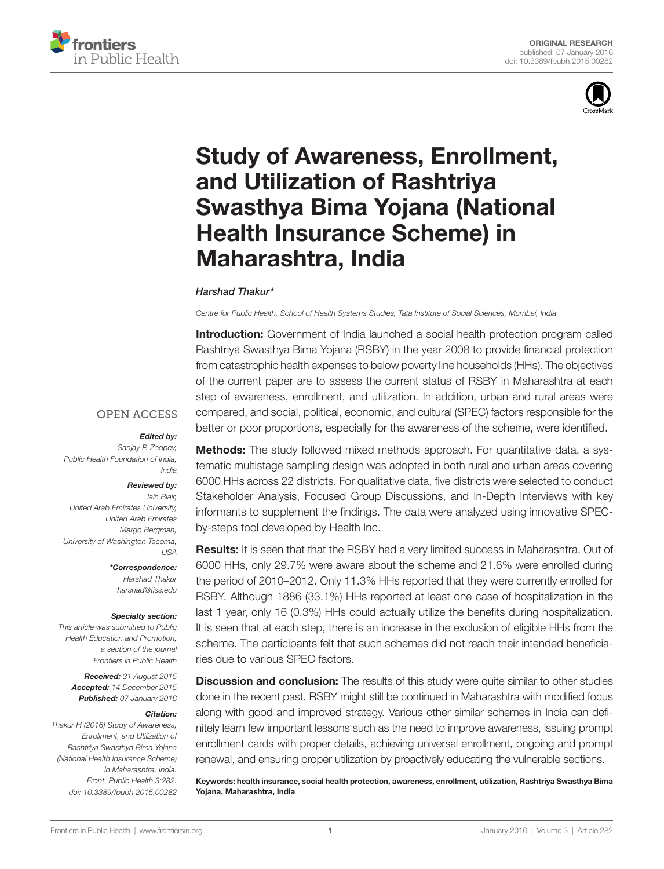



# **Study of Awareness, Enrollment,** and Utilization of Rashtriya **Swasthya Bima Yojana (National Health Insurance Scheme) in** Maharashtra, India

#### *[Harshad Thakur\\*](http://loop.frontiersin.org/people/86431/overview)*

*Centre for Public Health, School of Health Systems Studies, Tata Institute of Social Sciences, Mumbai, India*

**Introduction:** Government of India launched a social health protection program called Rashtriya Swasthya Bima Yojana (RSBY) in the year 2008 to provide financial protection from catastrophic health expenses to below poverty line households (HHs). The objectives of the current paper are to assess the current status of RSBY in Maharashtra at each step of awareness, enrollment, and utilization. In addition, urban and rural areas were compared, and social, political, economic, and cultural (SPEC) factors responsible for the better or poor proportions, especially for the awareness of the scheme, were identified.

#### **OPEN ACCESS**

#### *Edited by:*

*Sanjay P. Zodpey, Public Health Foundation of India, India*

#### *Reviewed by:*

*Iain Blair, United Arab Emirates University, United Arab Emirates Margo Bergman, University of Washington Tacoma, USA*

> *\*Correspondence: Harshad Thakur [harshad@tiss.edu](mailto:harshad@tiss.edu)*

#### *Specialty section:*

*This article was submitted to Public Health Education and Promotion, a section of the journal Frontiers in Public Health*

> *Received: 31 August 2015 Accepted: 14 December 2015 Published: 07 January 2016*

#### *Citation:*

*Thakur H (2016) Study of Awareness, Enrollment, and Utilization of Rashtriya Swasthya Bima Yojana (National Health Insurance Scheme) in Maharashtra, India. Front. Public Health 3:282. doi: [10.3389/fpubh.2015.00282](http://dx.doi.org/10.3389/fpubh.2015.00282)* **Methods:** The study followed mixed methods approach. For quantitative data, a systematic multistage sampling design was adopted in both rural and urban areas covering 6000 HHs across 22 districts. For qualitative data, five districts were selected to conduct Stakeholder Analysis, Focused Group Discussions, and In-Depth Interviews with key informants to supplement the findings. The data were analyzed using innovative SPECby-steps tool developed by Health Inc.

Results: It is seen that that the RSBY had a very limited success in Maharashtra. Out of 6000 HHs, only 29.7% were aware about the scheme and 21.6% were enrolled during the period of 2010-2012. Only 11.3% HHs reported that they were currently enrolled for RSBY. Although 1886 (33.1%) HHs reported at least one case of hospitalization in the last 1 year, only 16 (0.3%) HHs could actually utilize the benefits during hospitalization. It is seen that at each step, there is an increase in the exclusion of eligible HHs from the scheme. The participants felt that such schemes did not reach their intended beneficiaries due to various SPEC factors.

**Discussion and conclusion:** The results of this study were quite similar to other studies done in the recent past. RSBY might still be continued in Maharashtra with modified focus along with good and improved strategy. Various other similar schemes in India can definitely learn few important lessons such as the need to improve awareness, issuing prompt enrollment cards with proper details, achieving universal enrollment, ongoing and prompt renewal, and ensuring proper utilization by proactively educating the vulnerable sections.

Keywords: health insurance, social health protection, awareness, enrollment, utilization, Rashtriya Swasthya Bima Yojana, Maharashtra, India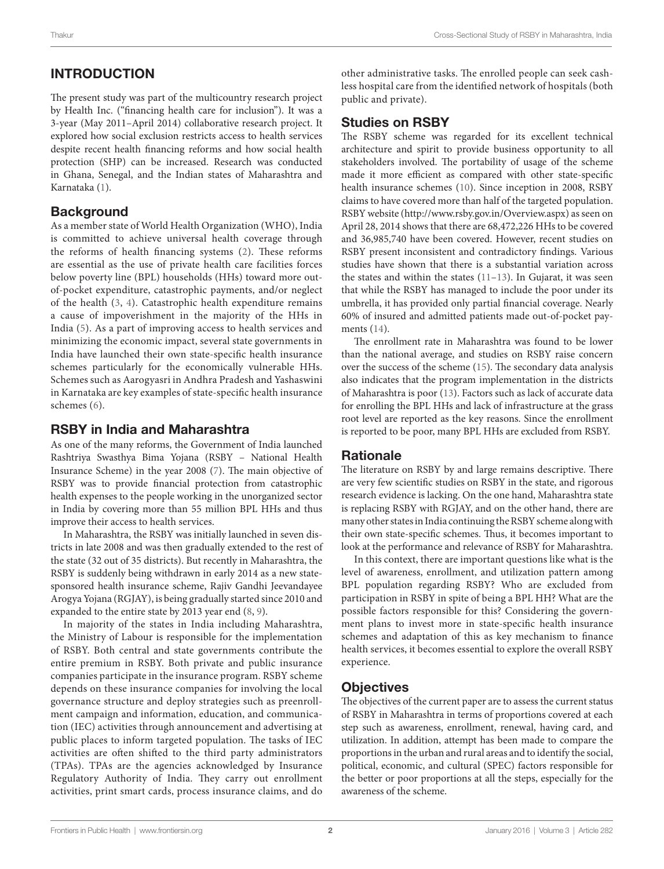# INTRODUCTION

The present study was part of the multicountry research project by Health Inc. ("financing health care for inclusion"). It was a 3-year (May 2011–April 2014) collaborative research project. It explored how social exclusion restricts access to health services despite recent health financing reforms and how social health protection (SHP) can be increased. Research was conducted in Ghana, Senegal, and the Indian states of Maharashtra and Karnataka ([1\)](#page-12-0).

# **Background**

As a member state of World Health Organization (WHO), India is committed to achieve universal health coverage through the reforms of health financing systems [\(2\)](#page-12-1). These reforms are essential as the use of private health care facilities forces below poverty line (BPL) households (HHs) toward more outof-pocket expenditure, catastrophic payments, and/or neglect of the health [\(3,](#page-12-2) [4](#page-12-3)). Catastrophic health expenditure remains a cause of impoverishment in the majority of the HHs in India ([5\)](#page-12-4). As a part of improving access to health services and minimizing the economic impact, several state governments in India have launched their own state-specific health insurance schemes particularly for the economically vulnerable HHs. Schemes such as Aarogyasri in Andhra Pradesh and Yashaswini in Karnataka are key examples of state-specific health insurance schemes ([6](#page-12-5)).

# RSBY in India and Maharashtra

As one of the many reforms, the Government of India launched Rashtriya Swasthya Bima Yojana (RSBY – National Health Insurance Scheme) in the year 2008 [\(7](#page-12-6)). The main objective of RSBY was to provide financial protection from catastrophic health expenses to the people working in the unorganized sector in India by covering more than 55 million BPL HHs and thus improve their access to health services.

In Maharashtra, the RSBY was initially launched in seven districts in late 2008 and was then gradually extended to the rest of the state (32 out of 35 districts). But recently in Maharashtra, the RSBY is suddenly being withdrawn in early 2014 as a new statesponsored health insurance scheme, Rajiv Gandhi Jeevandayee Arogya Yojana (RGJAY), is being gradually started since 2010 and expanded to the entire state by 2013 year end [\(8,](#page-12-7) [9\)](#page-12-8).

In majority of the states in India including Maharashtra, the Ministry of Labour is responsible for the implementation of RSBY. Both central and state governments contribute the entire premium in RSBY. Both private and public insurance companies participate in the insurance program. RSBY scheme depends on these insurance companies for involving the local governance structure and deploy strategies such as preenrollment campaign and information, education, and communication (IEC) activities through announcement and advertising at public places to inform targeted population. The tasks of IEC activities are often shifted to the third party administrators (TPAs). TPAs are the agencies acknowledged by Insurance Regulatory Authority of India. They carry out enrollment activities, print smart cards, process insurance claims, and do other administrative tasks. The enrolled people can seek cashless hospital care from the identified network of hospitals (both public and private).

# Studies on RSBY

The RSBY scheme was regarded for its excellent technical architecture and spirit to provide business opportunity to all stakeholders involved. The portability of usage of the scheme made it more efficient as compared with other state-specific health insurance schemes [\(10](#page-12-9)). Since inception in 2008, RSBY claims to have covered more than half of the targeted population. RSBY website (<http://www.rsby.gov.in/Overview.aspx>) as seen on April 28, 2014 shows that there are 68,472,226 HHs to be covered and 36,985,740 have been covered. However, recent studies on RSBY present inconsistent and contradictory findings. Various studies have shown that there is a substantial variation across the states and within the states [\(11–](#page-12-10)[13\)](#page-12-11). In Gujarat, it was seen that while the RSBY has managed to include the poor under its umbrella, it has provided only partial financial coverage. Nearly 60% of insured and admitted patients made out-of-pocket payments ([14](#page-12-12)).

The enrollment rate in Maharashtra was found to be lower than the national average, and studies on RSBY raise concern over the success of the scheme [\(15](#page-12-13)). The secondary data analysis also indicates that the program implementation in the districts of Maharashtra is poor ([13\)](#page-12-11). Factors such as lack of accurate data for enrolling the BPL HHs and lack of infrastructure at the grass root level are reported as the key reasons. Since the enrollment is reported to be poor, many BPL HHs are excluded from RSBY.

### **Rationale**

The literature on RSBY by and large remains descriptive. There are very few scientific studies on RSBY in the state, and rigorous research evidence is lacking. On the one hand, Maharashtra state is replacing RSBY with RGJAY, and on the other hand, there are many other states in India continuing the RSBY scheme along with their own state-specific schemes. Thus, it becomes important to look at the performance and relevance of RSBY for Maharashtra.

In this context, there are important questions like what is the level of awareness, enrollment, and utilization pattern among BPL population regarding RSBY? Who are excluded from participation in RSBY in spite of being a BPL HH? What are the possible factors responsible for this? Considering the government plans to invest more in state-specific health insurance schemes and adaptation of this as key mechanism to finance health services, it becomes essential to explore the overall RSBY experience.

# **Objectives**

The objectives of the current paper are to assess the current status of RSBY in Maharashtra in terms of proportions covered at each step such as awareness, enrollment, renewal, having card, and utilization. In addition, attempt has been made to compare the proportions in the urban and rural areas and to identify the social, political, economic, and cultural (SPEC) factors responsible for the better or poor proportions at all the steps, especially for the awareness of the scheme.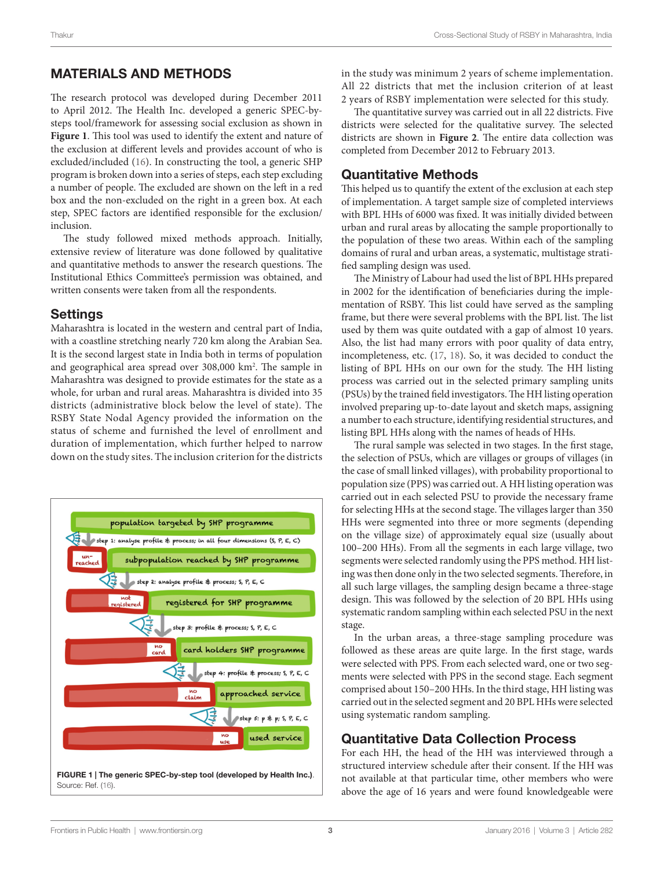### MATERIALS AND METHODS

The research protocol was developed during December 2011 to April 2012. The Health Inc. developed a generic SPEC-bysteps tool/framework for assessing social exclusion as shown in **[Figure 1](#page-2-0)**. This tool was used to identify the extent and nature of the exclusion at different levels and provides account of who is excluded/included [\(16\)](#page-12-14). In constructing the tool, a generic SHP program is broken down into a series of steps, each step excluding a number of people. The excluded are shown on the left in a red box and the non-excluded on the right in a green box. At each step, SPEC factors are identified responsible for the exclusion/ inclusion.

The study followed mixed methods approach. Initially, extensive review of literature was done followed by qualitative and quantitative methods to answer the research questions. The Institutional Ethics Committee's permission was obtained, and written consents were taken from all the respondents.

### **Settings**

Maharashtra is located in the western and central part of India, with a coastline stretching nearly 720 km along the Arabian Sea. It is the second largest state in India both in terms of population and geographical area spread over 308,000 km2 . The sample in Maharashtra was designed to provide estimates for the state as a whole, for urban and rural areas. Maharashtra is divided into 35 districts (administrative block below the level of state). The RSBY State Nodal Agency provided the information on the status of scheme and furnished the level of enrollment and duration of implementation, which further helped to narrow down on the study sites. The inclusion criterion for the districts

<span id="page-2-0"></span>

in the study was minimum 2 years of scheme implementation. All 22 districts that met the inclusion criterion of at least 2 years of RSBY implementation were selected for this study.

The quantitative survey was carried out in all 22 districts. Five districts were selected for the qualitative survey. The selected districts are shown in **[Figure 2](#page-3-0)**. The entire data collection was completed from December 2012 to February 2013.

### Quantitative Methods

This helped us to quantify the extent of the exclusion at each step of implementation. A target sample size of completed interviews with BPL HHs of 6000 was fixed. It was initially divided between urban and rural areas by allocating the sample proportionally to the population of these two areas. Within each of the sampling domains of rural and urban areas, a systematic, multistage stratified sampling design was used.

The Ministry of Labour had used the list of BPL HHs prepared in 2002 for the identification of beneficiaries during the implementation of RSBY. This list could have served as the sampling frame, but there were several problems with the BPL list. The list used by them was quite outdated with a gap of almost 10 years. Also, the list had many errors with poor quality of data entry, incompleteness, etc. [\(17](#page-12-15), [18](#page-12-16)). So, it was decided to conduct the listing of BPL HHs on our own for the study. The HH listing process was carried out in the selected primary sampling units (PSUs) by the trained field investigators. The HH listing operation involved preparing up-to-date layout and sketch maps, assigning a number to each structure, identifying residential structures, and listing BPL HHs along with the names of heads of HHs.

The rural sample was selected in two stages. In the first stage, the selection of PSUs, which are villages or groups of villages (in the case of small linked villages), with probability proportional to population size (PPS) was carried out. A HH listing operation was carried out in each selected PSU to provide the necessary frame for selecting HHs at the second stage. The villages larger than 350 HHs were segmented into three or more segments (depending on the village size) of approximately equal size (usually about 100–200 HHs). From all the segments in each large village, two segments were selected randomly using the PPS method. HH listing was then done only in the two selected segments. Therefore, in all such large villages, the sampling design became a three-stage design. This was followed by the selection of 20 BPL HHs using systematic random sampling within each selected PSU in the next stage.

In the urban areas, a three-stage sampling procedure was followed as these areas are quite large. In the first stage, wards were selected with PPS. From each selected ward, one or two segments were selected with PPS in the second stage. Each segment comprised about 150–200 HHs. In the third stage, HH listing was carried out in the selected segment and 20 BPL HHs were selected using systematic random sampling.

### Quantitative Data Collection Process

For each HH, the head of the HH was interviewed through a structured interview schedule after their consent. If the HH was not available at that particular time, other members who were above the age of 16 years and were found knowledgeable were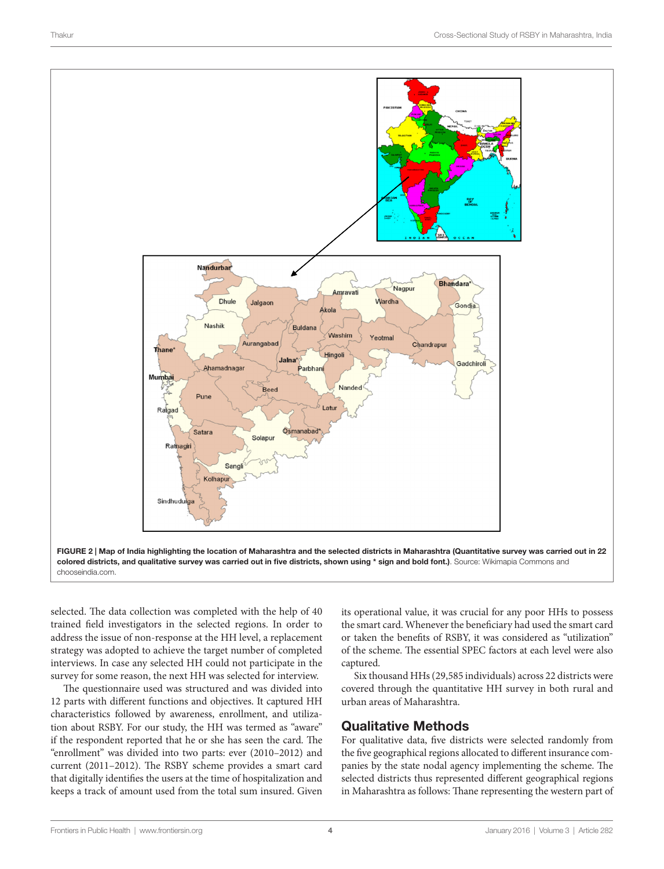

selected. The data collection was completed with the help of 40 trained field investigators in the selected regions. In order to address the issue of non-response at the HH level, a replacement strategy was adopted to achieve the target number of completed interviews. In case any selected HH could not participate in the survey for some reason, the next HH was selected for interview.

The questionnaire used was structured and was divided into 12 parts with different functions and objectives. It captured HH characteristics followed by awareness, enrollment, and utilization about RSBY. For our study, the HH was termed as "aware" if the respondent reported that he or she has seen the card. The "enrollment" was divided into two parts: ever (2010–2012) and current (2011–2012). The RSBY scheme provides a smart card that digitally identifies the users at the time of hospitalization and keeps a track of amount used from the total sum insured. Given <span id="page-3-0"></span>its operational value, it was crucial for any poor HHs to possess the smart card. Whenever the beneficiary had used the smart card or taken the benefits of RSBY, it was considered as "utilization" of the scheme. The essential SPEC factors at each level were also captured.

Six thousand HHs (29,585 individuals) across 22 districts were covered through the quantitative HH survey in both rural and urban areas of Maharashtra.

### Qualitative Methods

For qualitative data, five districts were selected randomly from the five geographical regions allocated to different insurance companies by the state nodal agency implementing the scheme. The selected districts thus represented different geographical regions in Maharashtra as follows: Thane representing the western part of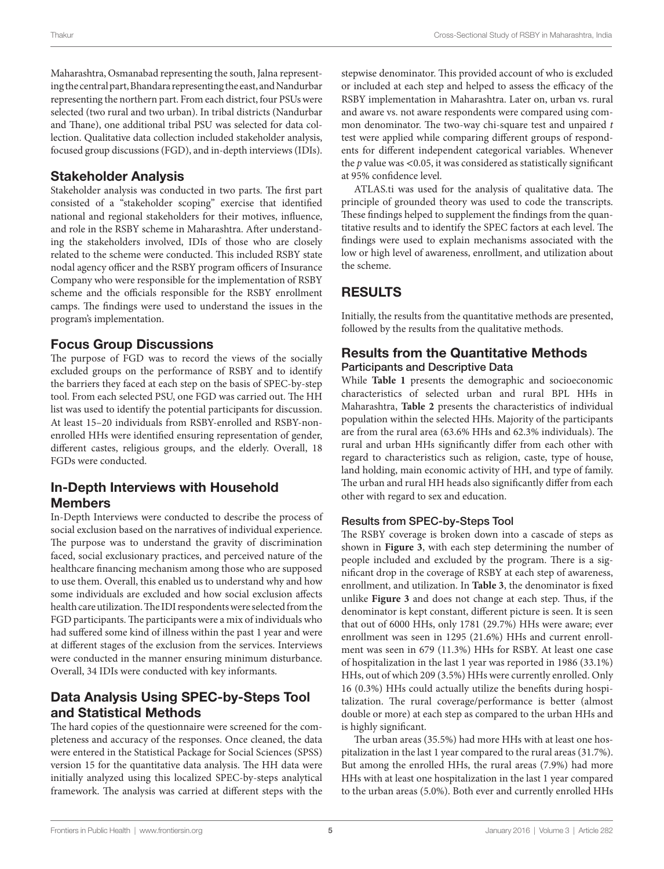Maharashtra, Osmanabad representing the south, Jalna representing the central part, Bhandara representing the east, and Nandurbar representing the northern part. From each district, four PSUs were selected (two rural and two urban). In tribal districts (Nandurbar and Thane), one additional tribal PSU was selected for data collection. Qualitative data collection included stakeholder analysis, focused group discussions (FGD), and in-depth interviews (IDIs).

### Stakeholder Analysis

Stakeholder analysis was conducted in two parts. The first part consisted of a "stakeholder scoping" exercise that identified national and regional stakeholders for their motives, influence, and role in the RSBY scheme in Maharashtra. After understanding the stakeholders involved, IDIs of those who are closely related to the scheme were conducted. This included RSBY state nodal agency officer and the RSBY program officers of Insurance Company who were responsible for the implementation of RSBY scheme and the officials responsible for the RSBY enrollment camps. The findings were used to understand the issues in the program's implementation.

### Focus Group Discussions

The purpose of FGD was to record the views of the socially excluded groups on the performance of RSBY and to identify the barriers they faced at each step on the basis of SPEC-by-step tool. From each selected PSU, one FGD was carried out. The HH list was used to identify the potential participants for discussion. At least 15–20 individuals from RSBY-enrolled and RSBY-nonenrolled HHs were identified ensuring representation of gender, different castes, religious groups, and the elderly. Overall, 18 FGDs were conducted.

### In-Depth Interviews with Household Members

In-Depth Interviews were conducted to describe the process of social exclusion based on the narratives of individual experience. The purpose was to understand the gravity of discrimination faced, social exclusionary practices, and perceived nature of the healthcare financing mechanism among those who are supposed to use them. Overall, this enabled us to understand why and how some individuals are excluded and how social exclusion affects health care utilization. The IDI respondents were selected from the FGD participants. The participants were a mix of individuals who had suffered some kind of illness within the past 1 year and were at different stages of the exclusion from the services. Interviews were conducted in the manner ensuring minimum disturbance. Overall, 34 IDIs were conducted with key informants.

# Data Analysis Using SPEC-by-Steps Tool and Statistical Methods

The hard copies of the questionnaire were screened for the completeness and accuracy of the responses. Once cleaned, the data were entered in the Statistical Package for Social Sciences (SPSS) version 15 for the quantitative data analysis. The HH data were initially analyzed using this localized SPEC-by-steps analytical framework. The analysis was carried at different steps with the stepwise denominator. This provided account of who is excluded or included at each step and helped to assess the efficacy of the RSBY implementation in Maharashtra. Later on, urban vs. rural and aware vs. not aware respondents were compared using common denominator. The two-way chi-square test and unpaired *t* test were applied while comparing different groups of respondents for different independent categorical variables. Whenever the *p* value was <0.05, it was considered as statistically significant at 95% confidence level.

ATLAS.ti was used for the analysis of qualitative data. The principle of grounded theory was used to code the transcripts. These findings helped to supplement the findings from the quantitative results and to identify the SPEC factors at each level. The findings were used to explain mechanisms associated with the low or high level of awareness, enrollment, and utilization about the scheme.

# RESULTS

Initially, the results from the quantitative methods are presented, followed by the results from the qualitative methods.

### Results from the Quantitative Methods Participants and Descriptive Data

While **[Table 1](#page-5-0)** presents the demographic and socioeconomic characteristics of selected urban and rural BPL HHs in Maharashtra, **[Table 2](#page-6-0)** presents the characteristics of individual population within the selected HHs. Majority of the participants are from the rural area (63.6% HHs and 62.3% individuals). The rural and urban HHs significantly differ from each other with regard to characteristics such as religion, caste, type of house, land holding, main economic activity of HH, and type of family. The urban and rural HH heads also significantly differ from each other with regard to sex and education.

### Results from SPEC-by-Steps Tool

The RSBY coverage is broken down into a cascade of steps as shown in **[Figure 3](#page-6-1)**, with each step determining the number of people included and excluded by the program. There is a significant drop in the coverage of RSBY at each step of awareness, enrollment, and utilization. In **[Table 3](#page-7-0)**, the denominator is fixed unlike **[Figure 3](#page-6-1)** and does not change at each step. Thus, if the denominator is kept constant, different picture is seen. It is seen that out of 6000 HHs, only 1781 (29.7%) HHs were aware; ever enrollment was seen in 1295 (21.6%) HHs and current enrollment was seen in 679 (11.3%) HHs for RSBY. At least one case of hospitalization in the last 1 year was reported in 1986 (33.1%) HHs, out of which 209 (3.5%) HHs were currently enrolled. Only 16 (0.3%) HHs could actually utilize the benefits during hospitalization. The rural coverage/performance is better (almost double or more) at each step as compared to the urban HHs and is highly significant.

The urban areas (35.5%) had more HHs with at least one hospitalization in the last 1 year compared to the rural areas (31.7%). But among the enrolled HHs, the rural areas (7.9%) had more HHs with at least one hospitalization in the last 1 year compared to the urban areas (5.0%). Both ever and currently enrolled HHs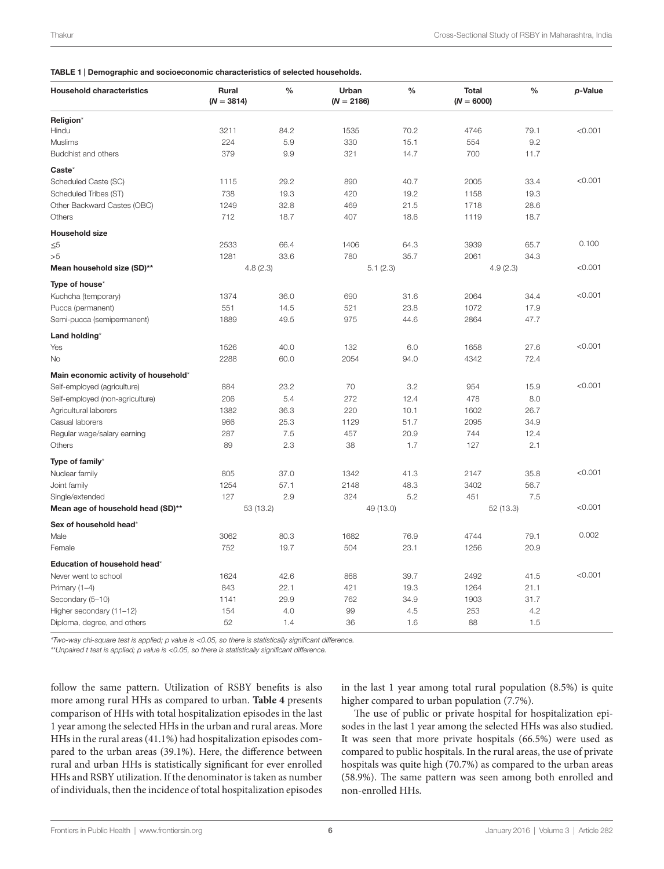#### <span id="page-5-0"></span>TABLE 1 | Demographic and socioeconomic characteristics of selected households.

| <b>Household characteristics</b>     | Rural<br>$(N = 3814)$ | $\%$ | Urban<br>$(N = 2186)$ | $\%$ | <b>Total</b><br>$(N = 6000)$ | $\%$ | p-Value |
|--------------------------------------|-----------------------|------|-----------------------|------|------------------------------|------|---------|
| Religion*                            |                       |      |                       |      |                              |      |         |
| Hindu                                | 3211                  | 84.2 | 1535                  | 70.2 | 4746                         | 79.1 | < 0.001 |
| <b>Muslims</b>                       | 224                   | 5.9  | 330                   | 15.1 | 554                          | 9.2  |         |
| Buddhist and others                  | 379                   | 9.9  | 321                   | 14.7 | 700                          | 11.7 |         |
| Caste*                               |                       |      |                       |      |                              |      |         |
| Scheduled Caste (SC)                 | 1115                  | 29.2 | 890                   | 40.7 | 2005                         | 33.4 | < 0.001 |
| Scheduled Tribes (ST)                | 738                   | 19.3 | 420                   | 19.2 | 1158                         | 19.3 |         |
| Other Backward Castes (OBC)          | 1249                  | 32.8 | 469                   | 21.5 | 1718                         | 28.6 |         |
| Others                               | 712                   | 18.7 | 407                   | 18.6 | 1119                         | 18.7 |         |
| <b>Household size</b>                |                       |      |                       |      |                              |      |         |
| $\leq 5$                             | 2533                  | 66.4 | 1406                  | 64.3 | 3939                         | 65.7 | 0.100   |
| >5                                   | 1281                  | 33.6 | 780                   | 35.7 | 2061                         | 34.3 |         |
| Mean household size (SD)**           | 4.8(2.3)              |      | 5.1(2.3)              |      | 4.9(2.3)                     |      | < 0.001 |
| Type of house*                       |                       |      |                       |      |                              |      |         |
| Kuchcha (temporary)                  | 1374                  | 36.0 | 690                   | 31.6 | 2064                         | 34.4 | < 0.001 |
| Pucca (permanent)                    | 551                   | 14.5 | 521                   | 23.8 | 1072                         | 17.9 |         |
| Semi-pucca (semipermanent)           | 1889                  | 49.5 | 975                   | 44.6 | 2864                         | 47.7 |         |
| Land holding*                        |                       |      |                       |      |                              |      |         |
| Yes                                  | 1526                  | 40.0 | 132                   | 6.0  | 1658                         | 27.6 | < 0.001 |
| No                                   | 2288                  | 60.0 | 2054                  | 94.0 | 4342                         | 72.4 |         |
| Main economic activity of household* |                       |      |                       |      |                              |      |         |
| Self-employed (agriculture)          | 884                   | 23.2 | 70                    | 3.2  | 954                          | 15.9 | < 0.001 |
| Self-employed (non-agriculture)      | 206                   | 5.4  | 272                   | 12.4 | 478                          | 8.0  |         |
| Agricultural laborers                | 1382                  | 36.3 | 220                   | 10.1 | 1602                         | 26.7 |         |
| Casual laborers                      | 966                   | 25.3 | 1129                  | 51.7 | 2095                         | 34.9 |         |
| Regular wage/salary earning          | 287                   | 7.5  | 457                   | 20.9 | 744                          | 12.4 |         |
| Others                               | 89                    | 2.3  | 38                    | 1.7  | 127                          | 2.1  |         |
| Type of family*                      |                       |      |                       |      |                              |      |         |
| Nuclear family                       | 805                   | 37.0 | 1342                  | 41.3 | 2147                         | 35.8 | < 0.001 |
| Joint family                         | 1254                  | 57.1 | 2148                  | 48.3 | 3402                         | 56.7 |         |
| Single/extended                      | 127                   | 2.9  | 324                   | 5.2  | 451                          | 7.5  |         |
| Mean age of household head (SD)**    | 53 (13.2)             |      | 49 (13.0)             |      | 52(13.3)                     |      | < 0.001 |
| Sex of household head*               |                       |      |                       |      |                              |      |         |
| Male                                 | 3062                  | 80.3 | 1682                  | 76.9 | 4744                         | 79.1 | 0.002   |
| Female                               | 752                   | 19.7 | 504                   | 23.1 | 1256                         | 20.9 |         |
| <b>Education of household head</b> * |                       |      |                       |      |                              |      |         |
| Never went to school                 | 1624                  | 42.6 | 868                   | 39.7 | 2492                         | 41.5 | < 0.001 |
| Primary (1-4)                        | 843                   | 22.1 | 421                   | 19.3 | 1264                         | 21.1 |         |
| Secondary (5-10)                     | 1141                  | 29.9 | 762                   | 34.9 | 1903                         | 31.7 |         |
| Higher secondary (11-12)             | 154                   | 4.0  | 99                    | 4.5  | 253                          | 4.2  |         |
| Diploma, degree, and others          | 52                    | 1.4  | 36                    | 1.6  | 88                           | 1.5  |         |

*\*Two-way chi-square test is applied; p value is* <*0.05, so there is statistically significant difference.*

*\*\*Unpaired t test is applied; p value is* <*0.05, so there is statistically significant difference.*

follow the same pattern. Utilization of RSBY benefits is also more among rural HHs as compared to urban. **[Table 4](#page-7-1)** presents comparison of HHs with total hospitalization episodes in the last 1 year among the selected HHs in the urban and rural areas. More HHs in the rural areas (41.1%) had hospitalization episodes compared to the urban areas (39.1%). Here, the difference between rural and urban HHs is statistically significant for ever enrolled HHs and RSBY utilization. If the denominator is taken as number of individuals, then the incidence of total hospitalization episodes in the last 1 year among total rural population (8.5%) is quite higher compared to urban population (7.7%).

The use of public or private hospital for hospitalization episodes in the last 1 year among the selected HHs was also studied. It was seen that more private hospitals (66.5%) were used as compared to public hospitals. In the rural areas, the use of private hospitals was quite high (70.7%) as compared to the urban areas (58.9%). The same pattern was seen among both enrolled and non-enrolled HHs.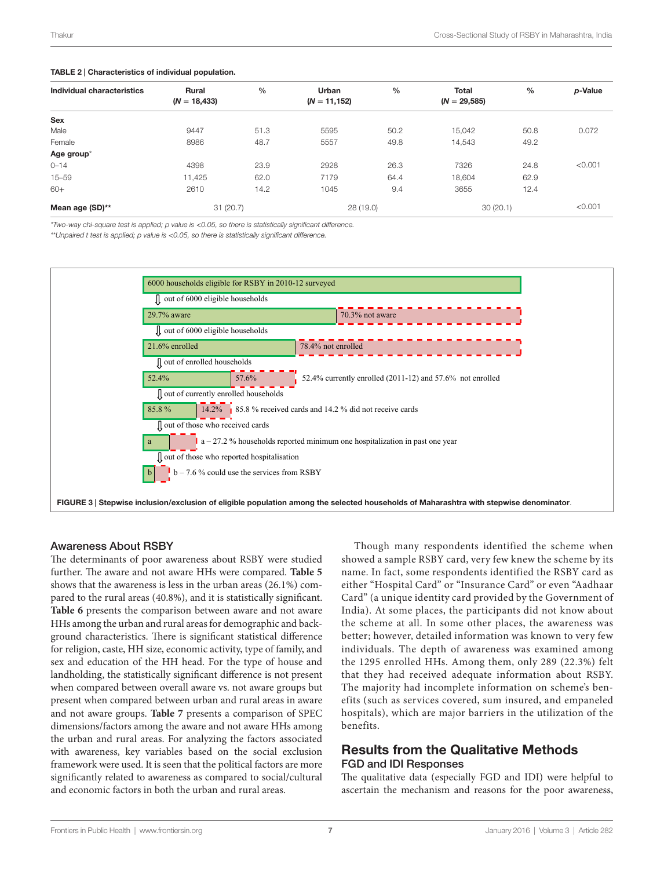#### <span id="page-6-0"></span>TABLE 2 | Characteristics of individual population.

|                |       |                  |       |                |              | p-Value          |
|----------------|-------|------------------|-------|----------------|--------------|------------------|
| $(N = 18,433)$ |       | $(N = 11, 152)$  |       | $(N = 29,585)$ |              |                  |
|                |       |                  |       |                |              |                  |
| 9447           | 51.3  | 5595             | 50.2  | 15.042         | 50.8         | 0.072            |
| 8986           | 48.7  | 5557             | 49.8  | 14,543         | 49.2         |                  |
|                |       |                  |       |                |              |                  |
| 4398           | 23.9  | 2928             | 26.3  | 7326           | 24.8         | < 0.001          |
| 11,425         | 62.0  | 7179             | 64.4  | 18.604         | 62.9         |                  |
| 2610           | 14.2  | 1045             | 9.4   | 3655           | 12.4         |                  |
|                |       | 28(19.0)         |       |                |              | < 0.001          |
|                | Rural | $\%$<br>31(20.7) | Urban | $\%$           | <b>Total</b> | $\%$<br>30(20.1) |

*\*Two-way chi-square test is applied; p value is* <*0.05, so there is statistically significant difference.*

*\*\*Unpaired t test is applied; p value is* <*0.05, so there is statistically significant difference.*



#### Awareness About RSBY

The determinants of poor awareness about RSBY were studied further. The aware and not aware HHs were compared. **[Table 5](#page-7-2)** shows that the awareness is less in the urban areas (26.1%) compared to the rural areas (40.8%), and it is statistically significant. **[Table 6](#page-8-0)** presents the comparison between aware and not aware HHs among the urban and rural areas for demographic and background characteristics. There is significant statistical difference for religion, caste, HH size, economic activity, type of family, and sex and education of the HH head. For the type of house and landholding, the statistically significant difference is not present when compared between overall aware vs. not aware groups but present when compared between urban and rural areas in aware and not aware groups. **[Table 7](#page-9-0)** presents a comparison of SPEC dimensions/factors among the aware and not aware HHs among the urban and rural areas. For analyzing the factors associated with awareness, key variables based on the social exclusion framework were used. It is seen that the political factors are more significantly related to awareness as compared to social/cultural and economic factors in both the urban and rural areas.

<span id="page-6-1"></span>Though many respondents identified the scheme when showed a sample RSBY card, very few knew the scheme by its name. In fact, some respondents identified the RSBY card as either "Hospital Card" or "Insurance Card" or even "Aadhaar Card" (a unique identity card provided by the Government of India). At some places, the participants did not know about the scheme at all. In some other places, the awareness was better; however, detailed information was known to very few individuals. The depth of awareness was examined among the 1295 enrolled HHs. Among them, only 289 (22.3%) felt that they had received adequate information about RSBY. The majority had incomplete information on scheme's benefits (such as services covered, sum insured, and empaneled hospitals), which are major barriers in the utilization of the benefits.

### Results from the Qualitative Methods FGD and IDI Responses

The qualitative data (especially FGD and IDI) were helpful to ascertain the mechanism and reasons for the poor awareness,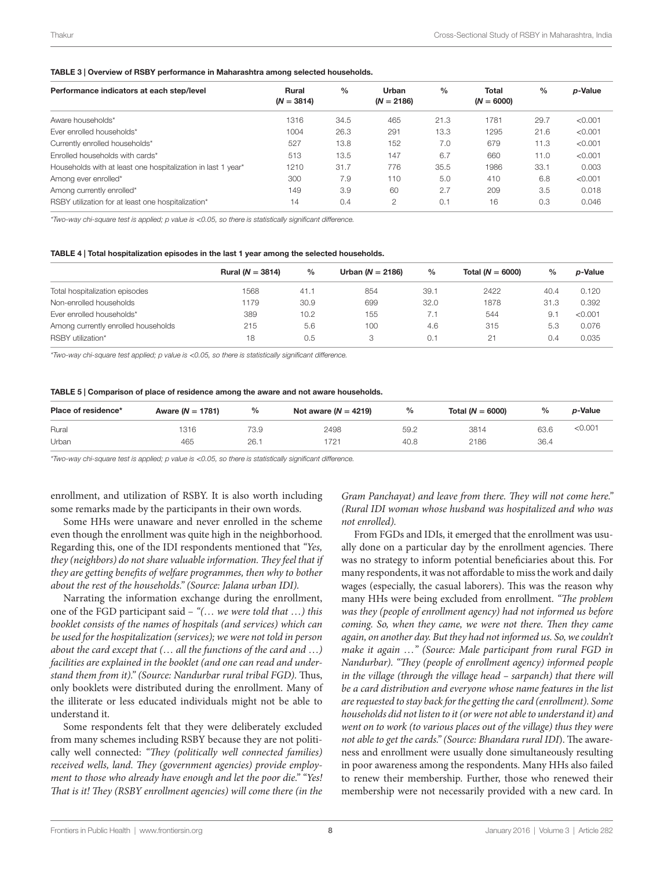#### <span id="page-7-0"></span>TABLE 3 | Overview of RSBY performance in Maharashtra among selected households.

| Performance indicators at each step/level                    | <b>Rural</b><br>$(N = 3814)$ | $\%$ | Urban<br>$(N = 2186)$ | $\frac{0}{0}$ | <b>Total</b><br>$(N = 6000)$ | $\frac{0}{0}$ | p-Value |
|--------------------------------------------------------------|------------------------------|------|-----------------------|---------------|------------------------------|---------------|---------|
| Aware households*                                            | 1316                         | 34.5 | 465                   | 21.3          | 1781                         | 29.7          | < 0.001 |
| Ever enrolled households*                                    | 1004                         | 26.3 | 291                   | 13.3          | 1295                         | 21.6          | < 0.001 |
| Currently enrolled households*                               | 527                          | 13.8 | 152                   | 7.0           | 679                          | 11.3          | < 0.001 |
| Enrolled households with cards*                              | 513                          | 13.5 | 147                   | 6.7           | 660                          | 11.0          | < 0.001 |
| Households with at least one hospitalization in last 1 year* | 1210                         | 31.7 | 776                   | 35.5          | 1986                         | 33.1          | 0.003   |
| Among ever enrolled*                                         | 300                          | 7.9  | 110                   | 5.0           | 410                          | 6.8           | < 0.001 |
| Among currently enrolled*                                    | 149                          | 3.9  | 60                    | 2.7           | 209                          | 3.5           | 0.018   |
| RSBY utilization for at least one hospitalization*           | 14                           | 0.4  | $\mathcal{P}$         | 0.1           | 16                           | 0.3           | 0.046   |

*\*Two-way chi-square test is applied; p value is* <*0.05, so there is statistically significant difference.*

#### <span id="page-7-1"></span>TABLE 4 | Total hospitalization episodes in the last 1 year among the selected households.

|                                     | Rural ( $N = 3814$ ) | $\frac{0}{0}$ | Urban ( $N = 2186$ ) | %    | Total ( $N = 6000$ ) | $\frac{0}{0}$ | <i>p</i> -Value |
|-------------------------------------|----------------------|---------------|----------------------|------|----------------------|---------------|-----------------|
| Total hospitalization episodes      | 1568                 | 41.1          | 854                  | 39.1 | 2422                 | 40.4          | 0.120           |
| Non-enrolled households             | 179                  | 30.9          | 699                  | 32.0 | 1878                 | 31.3          | 0.392           |
| Ever enrolled households*           | 389                  | 10.2          | 155                  | 7.1  | 544                  | -9.1          | < 0.001         |
| Among currently enrolled households | 215                  | 5.6           | 100                  | 4.6  | 315                  | 5.3           | 0.076           |
| RSBY utilization*                   | 18                   | 0.5           | 3                    | 0.1  | $2^+$                | 0.4           | 0.035           |

*\*Two-way chi-square test applied; p value is* <*0.05, so there is statistically significant difference.*

<span id="page-7-2"></span>

|  |  |  | TABLE 5   Comparison of place of residence among the aware and not aware households. |
|--|--|--|--------------------------------------------------------------------------------------|
|--|--|--|--------------------------------------------------------------------------------------|

| Place of residence* | Aware ( $N = 1781$ ) | %    | Not aware $(N = 4219)$ | %    | Total ( $N = 6000$ ) | %    | <i>p</i> -Value |
|---------------------|----------------------|------|------------------------|------|----------------------|------|-----------------|
| Rural               | 1316                 | 73.9 | 2498                   | 59.2 | 3814                 | 63.6 | <0.001          |
| Urban               | 465                  | 26.  | 1721                   | 40.8 | 2186                 | 36.4 |                 |

*\*Two-way chi-square test is applied; p value is* <*0.05, so there is statistically significant difference.*

enrollment, and utilization of RSBY. It is also worth including some remarks made by the participants in their own words.

Some HHs were unaware and never enrolled in the scheme even though the enrollment was quite high in the neighborhood. Regarding this, one of the IDI respondents mentioned that *"Yes, they (neighbors) do not share valuable information. They feel that if they are getting benefits of welfare programmes, then why to bother about the rest of the households." (Source: Jalana urban IDI).*

Narrating the information exchange during the enrollment, one of the FGD participant said – *"(*… *we were told that* …*) this booklet consists of the names of hospitals (and services) which can be used for the hospitalization (services); we were not told in person about the card except that (*… *all the functions of the card and* …*) facilities are explained in the booklet (and one can read and understand them from it)." (Source: Nandurbar rural tribal FGD).* Thus, only booklets were distributed during the enrollment. Many of the illiterate or less educated individuals might not be able to understand it.

Some respondents felt that they were deliberately excluded from many schemes including RSBY because they are not politically well connected: *"They (politically well connected families) received wells, land. They (government agencies) provide employment to those who already have enough and let the poor die." "Yes! That is it! They (RSBY enrollment agencies) will come there (in the*  *Gram Panchayat) and leave from there. They will not come here." (Rural IDI woman whose husband was hospitalized and who was not enrolled).*

From FGDs and IDIs, it emerged that the enrollment was usually done on a particular day by the enrollment agencies. There was no strategy to inform potential beneficiaries about this. For many respondents, it was not affordable to miss the work and daily wages (especially, the casual laborers). This was the reason why many HHs were being excluded from enrollment. *"The problem was they (people of enrollment agency) had not informed us before coming. So, when they came, we were not there. Then they came again, on another day. But they had not informed us. So, we couldn't make it again* …*" (Source: Male participant from rural FGD in Nandurbar). "They (people of enrollment agency) informed people in the village (through the village head – sarpanch) that there will be a card distribution and everyone whose name features in the list are requested to stay back for the getting the card (enrollment). Some households did not listen to it (or were not able to understand it) and went on to work (to various places out of the village) thus they were not able to get the cards." (Source: Bhandara rural IDI*). The awareness and enrollment were usually done simultaneously resulting in poor awareness among the respondents. Many HHs also failed to renew their membership. Further, those who renewed their membership were not necessarily provided with a new card. In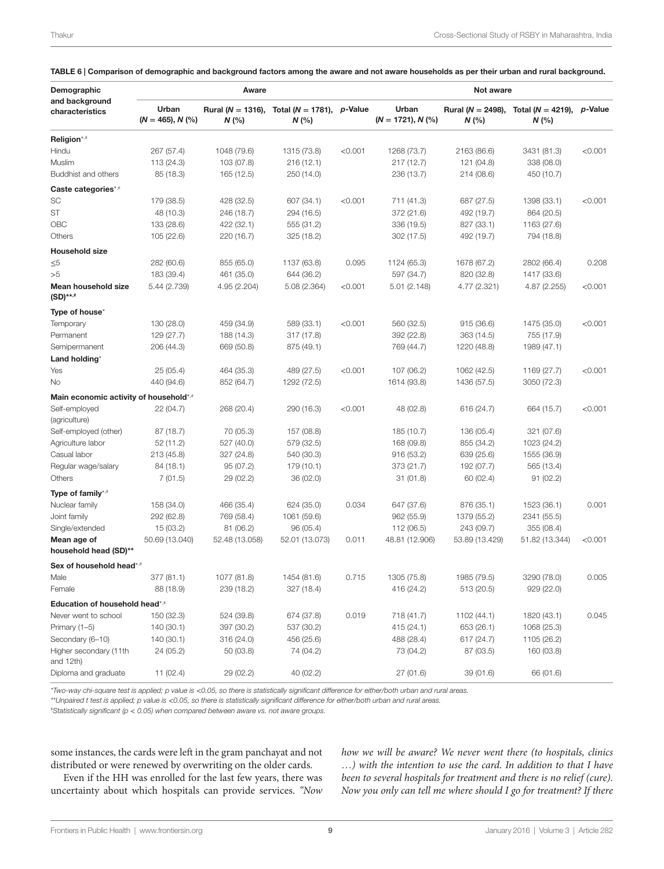| Demographic                            |                              | Aware                            |                                      | Not aware |                              |                                  |                                |         |
|----------------------------------------|------------------------------|----------------------------------|--------------------------------------|-----------|------------------------------|----------------------------------|--------------------------------|---------|
| and background<br>characteristics      | Urban<br>$(N = 465)$ , N (%) | Rural ( $N = 1316$ ),<br>$N$ (%) | Total ( $N = 1781$ ), p-Value<br>N(% |           | Urban<br>$(N = 1721), N$ (%) | Rural ( $N = 2498$ ),<br>$N$ (%) | Total ( $N = 4219$ ),<br>N (%) | p-Value |
| Religion*.#                            |                              |                                  |                                      |           |                              |                                  |                                |         |
| Hindu                                  | 267 (57.4)                   | 1048 (79.6)                      | 1315 (73.8)                          | < 0.001   | 1268 (73.7)                  | 2163 (86.6)                      | 3431 (81.3)                    | < 0.001 |
| Muslim                                 | 113 (24.3)                   | 103 (07.8)                       | 216(12.1)                            |           | 217 (12.7)                   | 121 (04.8)                       | 338 (08.0)                     |         |
| Buddhist and others                    | 85 (18.3)                    | 165 (12.5)                       | 250 (14.0)                           |           | 236 (13.7)                   | 214 (08.6)                       | 450 (10.7)                     |         |
| Caste categories*.#                    |                              |                                  |                                      |           |                              |                                  |                                |         |
| SC                                     | 179 (38.5)                   | 428 (32.5)                       | 607 (34.1)                           | < 0.001   | 711 (41.3)                   | 687 (27.5)                       | 1398 (33.1)                    | < 0.001 |
| ST                                     | 48 (10.3)                    | 246 (18.7)                       | 294 (16.5)                           |           | 372 (21.6)                   | 492 (19.7)                       | 864 (20.5)                     |         |
| OBC                                    | 133 (28.6)                   | 422 (32.1)                       | 555 (31.2)                           |           | 336 (19.5)                   | 827 (33.1)                       | 1163 (27.6)                    |         |
| Others                                 | 105 (22.6)                   | 220 (16.7)                       | 325 (18.2)                           |           | 302 (17.5)                   | 492 (19.7)                       | 794 (18.8)                     |         |
| <b>Household size</b>                  |                              |                                  |                                      |           |                              |                                  |                                |         |
| $\leq 5$                               | 282 (60.6)                   | 855 (65.0)                       | 1137 (63.8)                          | 0.095     | 1124 (65.3)                  | 1678 (67.2)                      | 2802 (66.4)                    | 0.208   |
| >5                                     | 183 (39.4)                   | 461 (35.0)                       | 644 (36.2)                           |           | 597 (34.7)                   | 820 (32.8)                       | 1417 (33.6)                    |         |
| Mean household size<br>$(SD)***$       | 5.44 (2.739)                 | 4.95 (2.204)                     | 5.08 (2.364)                         | < 0.001   | 5.01 (2.148)                 | 4.77 (2.321)                     | 4.87 (2.255)                   | < 0.001 |
| Type of house*                         |                              |                                  |                                      |           |                              |                                  |                                |         |
| Temporary                              | 130 (28.0)                   | 459 (34.9)                       | 589 (33.1)                           | < 0.001   | 560 (32.5)                   | 915 (36.6)                       | 1475 (35.0)                    | < 0.001 |
| Permanent                              | 129 (27.7)                   | 188 (14.3)                       | 317(17.8)                            |           | 392 (22.8)                   | 363 (14.5)                       | 755 (17.9)                     |         |
| Semipermanent                          | 206 (44.3)                   | 669 (50.8)                       | 875 (49.1)                           |           | 769 (44.7)                   | 1220 (48.8)                      | 1989 (47.1)                    |         |
| Land holding*                          |                              |                                  |                                      |           |                              |                                  |                                |         |
| Yes                                    | 25(05.4)                     | 464 (35.3)                       | 489 (27.5)                           | < 0.001   | 107 (06.2)                   | 1062 (42.5)                      | 1169 (27.7)                    | < 0.001 |
| No                                     | 440 (94.6)                   | 852 (64.7)                       | 1292 (72.5)                          |           | 1614 (93.8)                  | 1436 (57.5)                      | 3050 (72.3)                    |         |
| Main economic activity of household*,# |                              |                                  |                                      |           |                              |                                  |                                |         |
| Self-employed<br>(agriculture)         | 22 (04.7)                    | 268 (20.4)                       | 290 (16.3)                           | < 0.001   | 48 (02.8)                    | 616 (24.7)                       | 664 (15.7)                     | < 0.001 |
| Self-employed (other)                  | 87(18.7)                     | 70 (05.3)                        | 157 (08.8)                           |           | 185 (10.7)                   | 136 (05.4)                       | 321 (07.6)                     |         |
| Agriculture labor                      | 52(11.2)                     | 527 (40.0)                       | 579 (32.5)                           |           | 168 (09.8)                   | 855 (34.2)                       | 1023 (24.2)                    |         |
| Casual labor                           | 213 (45.8)                   | 327 (24.8)                       | 540 (30.3)                           |           | 916 (53.2)                   | 639 (25.6)                       | 1555 (36.9)                    |         |
| Regular wage/salary                    | 84 (18.1)                    | 95 (07.2)                        | 179 (10.1)                           |           | 373 (21.7)                   | 192 (07.7)                       | 565 (13.4)                     |         |
| Others                                 | 7 (01.5)                     | 29 (02.2)                        | 36 (02.0)                            |           | 31 (01.8)                    | 60 (02.4)                        | 91(02.2)                       |         |
| Type of family*.#                      |                              |                                  |                                      |           |                              |                                  |                                |         |
| Nuclear family                         | 158 (34.0)                   | 466 (35.4)                       | 624 (35.0)                           | 0.034     | 647 (37.6)                   | 876 (35.1)                       | 1523 (36.1)                    | 0.001   |
| Joint family                           | 292 (62.8)                   | 769 (58.4)                       | 1061 (59.6)                          |           | 962 (55.9)                   | 1379 (55.2)                      | 2341 (55.5)                    |         |
| Single/extended                        | 15 (03.2)                    | 81 (06.2)                        | 96 (05.4)                            |           | 112 (06.5)                   | 243 (09.7)                       | 355 (08.4)                     |         |
| Mean age of<br>household head (SD)**   | 50.69 (13.040)               | 52.48 (13.058)                   | 52.01 (13.073)                       | 0.011     | 48.81 (12.906)               | 53.89 (13.429)                   | 51.82 (13.344)                 | < 0.001 |
| Sex of household head*.#               |                              |                                  |                                      |           |                              |                                  |                                |         |
| Male                                   | 377 (81.1)                   | 1077 (81.8)                      | 1454 (81.6)                          | 0.715     | 1305 (75.8)                  | 1985 (79.5)                      | 3290 (78.0)                    | 0.005   |
| Female                                 | 88 (18.9)                    | 239 (18.2)                       | 327 (18.4)                           |           | 416 (24.2)                   | 513 (20.5)                       | 929 (22.0)                     |         |
| Education of household head*.#         |                              |                                  |                                      |           |                              |                                  |                                |         |
| Never went to school                   | 150 (32.3)                   | 524 (39.8)                       | 674 (37.8)                           | 0.019     | 718 (41.7)                   | 1102 (44.1)                      | 1820 (43.1)                    | 0.045   |
| Primary $(1-5)$                        | 140 (30.1)                   | 397 (30.2)                       | 537 (30.2)                           |           | 415 (24.1)                   | 653 (26.1)                       | 1068 (25.3)                    |         |
| Secondary (6-10)                       | 140 (30.1)                   | 316 (24.0)                       | 456 (25.6)                           |           | 488 (28.4)                   | 617 (24.7)                       | 1105 (26.2)                    |         |
| Higher secondary (11th<br>and 12th)    | 24 (05.2)                    | 50 (03.8)                        | 74 (04.2)                            |           | 73 (04.2)                    | 87 (03.5)                        | 160 (03.8)                     |         |
| Diploma and graduate                   | 11(02.4)                     | 29 (02.2)                        | 40 (02.2)                            |           | 27 (01.6)                    | 39 (01.6)                        | 66 (01.6)                      |         |

#### <span id="page-8-0"></span>TABLE 6 | Comparison of demographic and background factors among the aware and not aware households as per their urban and rural background.

*\*Two-way chi-square test is applied; p value is* <*0.05, so there is statistically significant difference for either/both urban and rural areas.*

*\*\*Unpaired t test is applied; p value is* <*0.05, so there is statistically significant difference for either/both urban and rural areas.*

*# Statistically significant (p* < *0.05) when compared between aware vs. not aware groups.*

some instances, the cards were left in the gram panchayat and not distributed or were renewed by overwriting on the older cards.

Even if the HH was enrolled for the last few years, there was uncertainty about which hospitals can provide services. *"Now*  *how we will be aware? We never went there (to hospitals, clinics* …*) with the intention to use the card. In addition to that I have been to several hospitals for treatment and there is no relief (cure). Now you only can tell me where should I go for treatment? If there*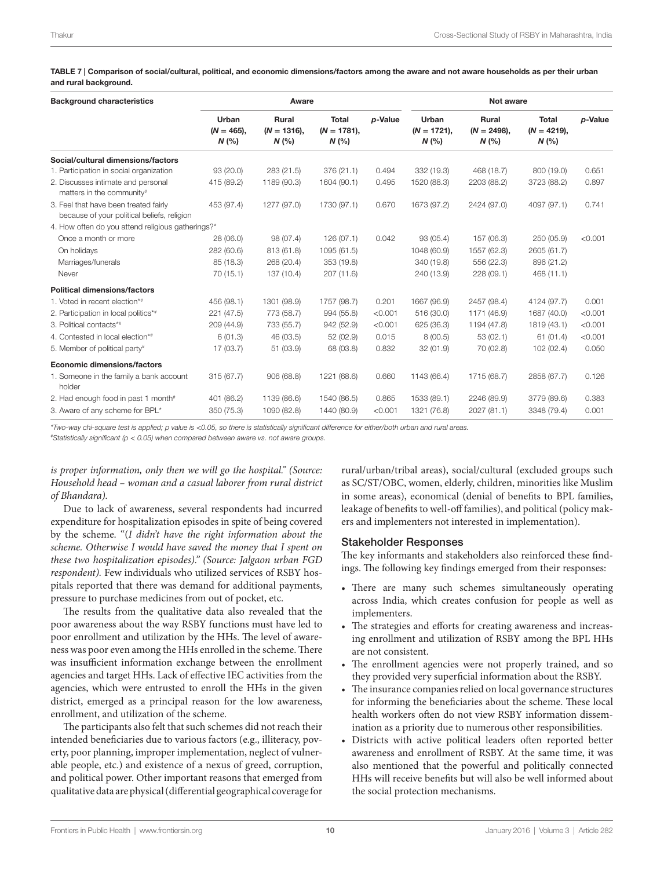<span id="page-9-0"></span>TABLE 7 | Comparison of social/cultural, political, and economic dimensions/factors among the aware and not aware households as per their urban and rural background.

| <b>Background characteristics</b>                                                    |                               | Aware                                 |                                       |         | Not aware                      |                                |                                      |         |
|--------------------------------------------------------------------------------------|-------------------------------|---------------------------------------|---------------------------------------|---------|--------------------------------|--------------------------------|--------------------------------------|---------|
|                                                                                      | Urban<br>$(N = 465)$ .<br>N(% | <b>Rural</b><br>$(N = 1316)$ ,<br>N(% | <b>Total</b><br>$(N = 1781)$ ,<br>N(% | p-Value | Urban<br>$(N = 1721)$ ,<br>N(% | Rural<br>$(N = 2498)$ ,<br>N(% | <b>Total</b><br>$(N = 4219),$<br>N(% | p-Value |
| Social/cultural dimensions/factors                                                   |                               |                                       |                                       |         |                                |                                |                                      |         |
| 1. Participation in social organization                                              | 93(20.0)                      | 283 (21.5)                            | 376 (21.1)                            | 0.494   | 332 (19.3)                     | 468 (18.7)                     | 800 (19.0)                           | 0.651   |
| 2. Discusses intimate and personal<br>matters in the community#                      | 415 (89.2)                    | 1189 (90.3)                           | 1604 (90.1)                           | 0.495   | 1520 (88.3)                    | 2203 (88.2)                    | 3723 (88.2)                          | 0.897   |
| 3. Feel that have been treated fairly<br>because of your political beliefs, religion | 453 (97.4)                    | 1277 (97.0)                           | 1730 (97.1)                           | 0.670   | 1673 (97.2)                    | 2424 (97.0)                    | 4097 (97.1)                          | 0.741   |
| 4. How often do you attend religious gatherings?*                                    |                               |                                       |                                       |         |                                |                                |                                      |         |
| Once a month or more                                                                 | 28 (06.0)                     | 98 (07.4)                             | 126 (07.1)                            | 0.042   | 93 (05.4)                      | 157 (06.3)                     | 250 (05.9)                           | < 0.001 |
| On holidays                                                                          | 282 (60.6)                    | 813 (61.8)                            | 1095 (61.5)                           |         | 1048 (60.9)                    | 1557 (62.3)                    | 2605 (61.7)                          |         |
| Marriages/funerals                                                                   | 85 (18.3)                     | 268 (20.4)                            | 353 (19.8)                            |         | 340 (19.8)                     | 556 (22.3)                     | 896 (21.2)                           |         |
| Never                                                                                | 70 (15.1)                     | 137 (10.4)                            | 207 (11.6)                            |         | 240 (13.9)                     | 228 (09.1)                     | 468 (11.1)                           |         |
| <b>Political dimensions/factors</b>                                                  |                               |                                       |                                       |         |                                |                                |                                      |         |
| 1. Voted in recent election*#                                                        | 456 (98.1)                    | 1301 (98.9)                           | 1757 (98.7)                           | 0.201   | 1667 (96.9)                    | 2457 (98.4)                    | 4124 (97.7)                          | 0.001   |
| 2. Participation in local politics*#                                                 | 221 (47.5)                    | 773 (58.7)                            | 994 (55.8)                            | < 0.001 | 516 (30.0)                     | 1171 (46.9)                    | 1687 (40.0)                          | < 0.001 |
| 3. Political contacts*#                                                              | 209 (44.9)                    | 733 (55.7)                            | 942 (52.9)                            | < 0.001 | 625 (36.3)                     | 1194 (47.8)                    | 1819 (43.1)                          | < 0.001 |
| 4. Contested in local election*#                                                     | 6(01.3)                       | 46 (03.5)                             | 52 (02.9)                             | 0.015   | 8(00.5)                        | 53(02.1)                       | 61(01.4)                             | < 0.001 |
| 5. Member of political party#                                                        | 17 (03.7)                     | 51 (03.9)                             | 68 (03.8)                             | 0.832   | 32(01.9)                       | 70 (02.8)                      | 102(02.4)                            | 0.050   |
| <b>Economic dimensions/factors</b>                                                   |                               |                                       |                                       |         |                                |                                |                                      |         |
| 1. Someone in the family a bank account<br>holder                                    | 315(67.7)                     | 906 (68.8)                            | 1221 (68.6)                           | 0.660   | 1143 (66.4)                    | 1715 (68.7)                    | 2858 (67.7)                          | 0.126   |
| 2. Had enough food in past 1 month#                                                  | 401 (86.2)                    | 1139 (86.6)                           | 1540 (86.5)                           | 0.865   | 1533 (89.1)                    | 2246 (89.9)                    | 3779 (89.6)                          | 0.383   |
| 3. Aware of any scheme for BPL*                                                      | 350 (75.3)                    | 1090 (82.8)                           | 1440 (80.9)                           | < 0.001 | 1321 (76.8)                    | 2027 (81.1)                    | 3348 (79.4)                          | 0.001   |

*\*Two-way chi-square test is applied; p value is* <*0.05, so there is statistically significant difference for either/both urban and rural areas.*

*# Statistically significant (p* < *0.05) when compared between aware vs. not aware groups.*

is proper information, only then we will go the hospital." (Source: *Household head – woman and a casual laborer from rural district of Bhandara).*

Due to lack of awareness, several respondents had incurred expenditure for hospitalization episodes in spite of being covered by the scheme. "(*I didn't have the right information about the scheme. Otherwise I would have saved the money that I spent on these two hospitalization episodes)." (Source: Jalgaon urban FGD respondent).* Few individuals who utilized services of RSBY hospitals reported that there was demand for additional payments, pressure to purchase medicines from out of pocket, etc.

The results from the qualitative data also revealed that the poor awareness about the way RSBY functions must have led to poor enrollment and utilization by the HHs. The level of awareness was poor even among the HHs enrolled in the scheme. There was insufficient information exchange between the enrollment agencies and target HHs. Lack of effective IEC activities from the agencies, which were entrusted to enroll the HHs in the given district, emerged as a principal reason for the low awareness, enrollment, and utilization of the scheme.

The participants also felt that such schemes did not reach their intended beneficiaries due to various factors (e.g., illiteracy, poverty, poor planning, improper implementation, neglect of vulnerable people, etc.) and existence of a nexus of greed, corruption, and political power. Other important reasons that emerged from qualitative data are physical (differential geographical coverage for rural/urban/tribal areas), social/cultural (excluded groups such as SC/ST/OBC, women, elderly, children, minorities like Muslim in some areas), economical (denial of benefits to BPL families, leakage of benefits to well-off families), and political (policy makers and implementers not interested in implementation).

#### Stakeholder Responses

The key informants and stakeholders also reinforced these findings. The following key findings emerged from their responses:

- There are many such schemes simultaneously operating across India, which creates confusion for people as well as implementers.
- The strategies and efforts for creating awareness and increasing enrollment and utilization of RSBY among the BPL HHs are not consistent.
- The enrollment agencies were not properly trained, and so they provided very superficial information about the RSBY.
- The insurance companies relied on local governance structures for informing the beneficiaries about the scheme. These local health workers often do not view RSBY information dissemination as a priority due to numerous other responsibilities.
- Districts with active political leaders often reported better awareness and enrollment of RSBY. At the same time, it was also mentioned that the powerful and politically connected HHs will receive benefits but will also be well informed about the social protection mechanisms.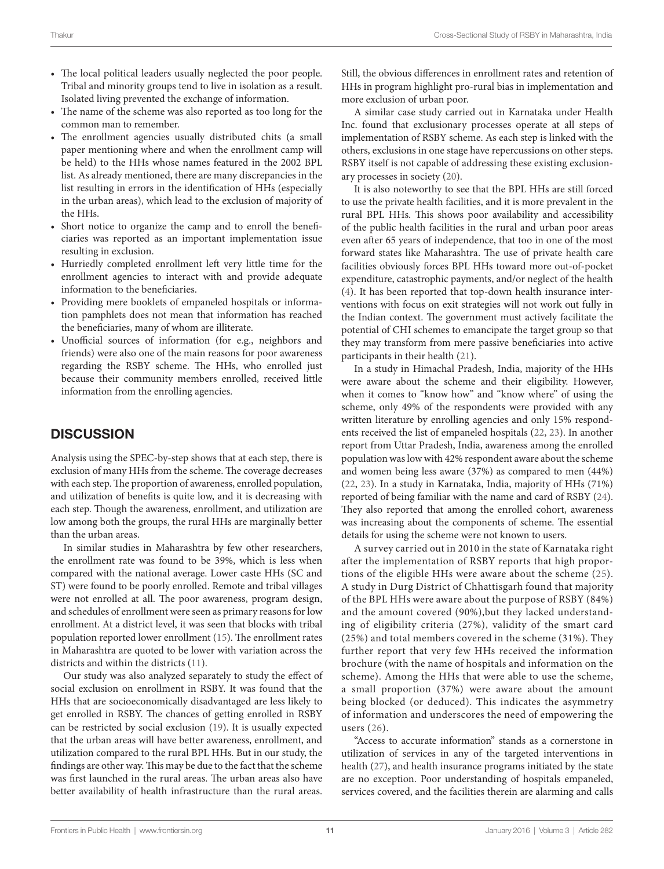- The local political leaders usually neglected the poor people. Tribal and minority groups tend to live in isolation as a result. Isolated living prevented the exchange of information.
- The name of the scheme was also reported as too long for the common man to remember.
- The enrollment agencies usually distributed chits (a small paper mentioning where and when the enrollment camp will be held) to the HHs whose names featured in the 2002 BPL list. As already mentioned, there are many discrepancies in the list resulting in errors in the identification of HHs (especially in the urban areas), which lead to the exclusion of majority of the HHs.
- Short notice to organize the camp and to enroll the beneficiaries was reported as an important implementation issue resulting in exclusion.
- Hurriedly completed enrollment left very little time for the enrollment agencies to interact with and provide adequate information to the beneficiaries.
- Providing mere booklets of empaneled hospitals or information pamphlets does not mean that information has reached the beneficiaries, many of whom are illiterate.
- Unofficial sources of information (for e.g., neighbors and friends) were also one of the main reasons for poor awareness regarding the RSBY scheme. The HHs, who enrolled just because their community members enrolled, received little information from the enrolling agencies.

### **DISCUSSION**

Analysis using the SPEC-by-step shows that at each step, there is exclusion of many HHs from the scheme. The coverage decreases with each step. The proportion of awareness, enrolled population, and utilization of benefits is quite low, and it is decreasing with each step. Though the awareness, enrollment, and utilization are low among both the groups, the rural HHs are marginally better than the urban areas.

In similar studies in Maharashtra by few other researchers, the enrollment rate was found to be 39%, which is less when compared with the national average. Lower caste HHs (SC and ST) were found to be poorly enrolled. Remote and tribal villages were not enrolled at all. The poor awareness, program design, and schedules of enrollment were seen as primary reasons for low enrollment. At a district level, it was seen that blocks with tribal population reported lower enrollment [\(15](#page-12-13)). The enrollment rates in Maharashtra are quoted to be lower with variation across the districts and within the districts [\(11\)](#page-12-10).

Our study was also analyzed separately to study the effect of social exclusion on enrollment in RSBY. It was found that the HHs that are socioeconomically disadvantaged are less likely to get enrolled in RSBY. The chances of getting enrolled in RSBY can be restricted by social exclusion ([19\)](#page-12-17). It is usually expected that the urban areas will have better awareness, enrollment, and utilization compared to the rural BPL HHs. But in our study, the findings are other way. This may be due to the fact that the scheme was first launched in the rural areas. The urban areas also have better availability of health infrastructure than the rural areas.

Still, the obvious differences in enrollment rates and retention of HHs in program highlight pro-rural bias in implementation and more exclusion of urban poor.

A similar case study carried out in Karnataka under Health Inc. found that exclusionary processes operate at all steps of implementation of RSBY scheme. As each step is linked with the others, exclusions in one stage have repercussions on other steps. RSBY itself is not capable of addressing these existing exclusionary processes in society [\(20](#page-12-18)).

It is also noteworthy to see that the BPL HHs are still forced to use the private health facilities, and it is more prevalent in the rural BPL HHs. This shows poor availability and accessibility of the public health facilities in the rural and urban poor areas even after 65 years of independence, that too in one of the most forward states like Maharashtra. The use of private health care facilities obviously forces BPL HHs toward more out-of-pocket expenditure, catastrophic payments, and/or neglect of the health [\(4\)](#page-12-3). It has been reported that top-down health insurance interventions with focus on exit strategies will not work out fully in the Indian context. The government must actively facilitate the potential of CHI schemes to emancipate the target group so that they may transform from mere passive beneficiaries into active participants in their health ([21\)](#page-12-19).

In a study in Himachal Pradesh, India, majority of the HHs were aware about the scheme and their eligibility. However, when it comes to "know how" and "know where" of using the scheme, only 49% of the respondents were provided with any written literature by enrolling agencies and only 15% respondents received the list of empaneled hospitals [\(22](#page-12-20), [23\)](#page-12-21). In another report from Uttar Pradesh, India, awareness among the enrolled population was low with 42% respondent aware about the scheme and women being less aware (37%) as compared to men (44%) [\(22,](#page-12-20) [23\)](#page-12-21). In a study in Karnataka, India, majority of HHs (71%) reported of being familiar with the name and card of RSBY [\(24](#page-12-22)). They also reported that among the enrolled cohort, awareness was increasing about the components of scheme. The essential details for using the scheme were not known to users.

A survey carried out in 2010 in the state of Karnataka right after the implementation of RSBY reports that high proportions of the eligible HHs were aware about the scheme [\(25](#page-12-23)). A study in Durg District of Chhattisgarh found that majority of the BPL HHs were aware about the purpose of RSBY (84%) and the amount covered (90%),but they lacked understanding of eligibility criteria (27%), validity of the smart card (25%) and total members covered in the scheme (31%). They further report that very few HHs received the information brochure (with the name of hospitals and information on the scheme). Among the HHs that were able to use the scheme, a small proportion (37%) were aware about the amount being blocked (or deduced). This indicates the asymmetry of information and underscores the need of empowering the users ([26\)](#page-12-24).

"Access to accurate information" stands as a cornerstone in utilization of services in any of the targeted interventions in health [\(27\)](#page-12-25), and health insurance programs initiated by the state are no exception. Poor understanding of hospitals empaneled, services covered, and the facilities therein are alarming and calls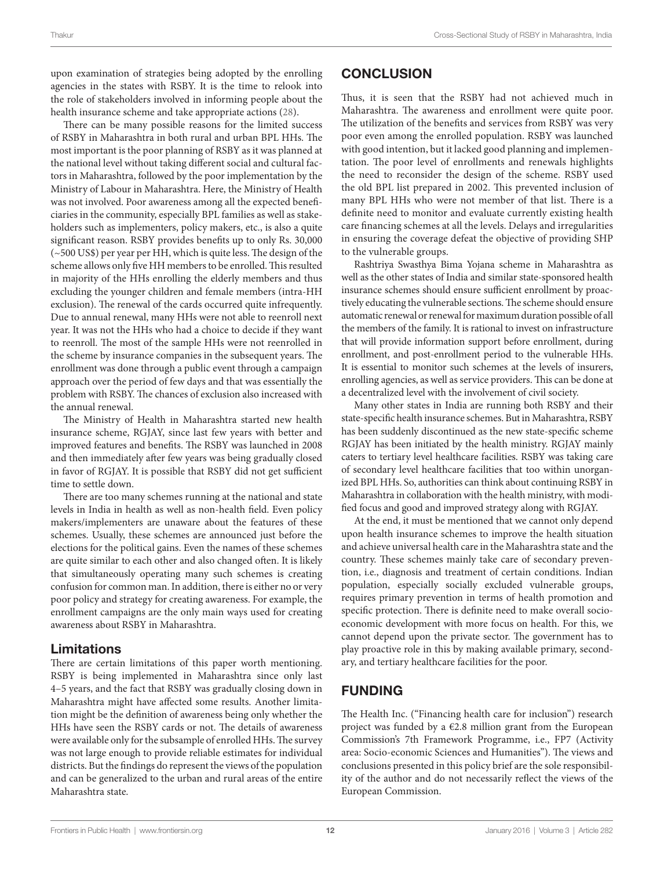upon examination of strategies being adopted by the enrolling agencies in the states with RSBY. It is the time to relook into the role of stakeholders involved in informing people about the health insurance scheme and take appropriate actions ([28\)](#page-12-26).

There can be many possible reasons for the limited success of RSBY in Maharashtra in both rural and urban BPL HHs. The most important is the poor planning of RSBY as it was planned at the national level without taking different social and cultural factors in Maharashtra, followed by the poor implementation by the Ministry of Labour in Maharashtra. Here, the Ministry of Health was not involved. Poor awareness among all the expected beneficiaries in the community, especially BPL families as well as stakeholders such as implementers, policy makers, etc., is also a quite significant reason. RSBY provides benefits up to only Rs. 30,000 (~500 US\$) per year per HH, which is quite less. The design of the scheme allows only five HH members to be enrolled. This resulted in majority of the HHs enrolling the elderly members and thus excluding the younger children and female members (intra-HH exclusion). The renewal of the cards occurred quite infrequently. Due to annual renewal, many HHs were not able to reenroll next year. It was not the HHs who had a choice to decide if they want to reenroll. The most of the sample HHs were not reenrolled in the scheme by insurance companies in the subsequent years. The enrollment was done through a public event through a campaign approach over the period of few days and that was essentially the problem with RSBY. The chances of exclusion also increased with the annual renewal.

The Ministry of Health in Maharashtra started new health insurance scheme, RGJAY, since last few years with better and improved features and benefits. The RSBY was launched in 2008 and then immediately after few years was being gradually closed in favor of RGJAY. It is possible that RSBY did not get sufficient time to settle down.

There are too many schemes running at the national and state levels in India in health as well as non-health field. Even policy makers/implementers are unaware about the features of these schemes. Usually, these schemes are announced just before the elections for the political gains. Even the names of these schemes are quite similar to each other and also changed often. It is likely that simultaneously operating many such schemes is creating confusion for common man. In addition, there is either no or very poor policy and strategy for creating awareness. For example, the enrollment campaigns are the only main ways used for creating awareness about RSBY in Maharashtra.

### Limitations

There are certain limitations of this paper worth mentioning. RSBY is being implemented in Maharashtra since only last 4–5 years, and the fact that RSBY was gradually closing down in Maharashtra might have affected some results. Another limitation might be the definition of awareness being only whether the HHs have seen the RSBY cards or not. The details of awareness were available only for the subsample of enrolled HHs. The survey was not large enough to provide reliable estimates for individual districts. But the findings do represent the views of the population and can be generalized to the urban and rural areas of the entire Maharashtra state.

### **CONCLUSION**

Thus, it is seen that the RSBY had not achieved much in Maharashtra. The awareness and enrollment were quite poor. The utilization of the benefits and services from RSBY was very poor even among the enrolled population. RSBY was launched with good intention, but it lacked good planning and implementation. The poor level of enrollments and renewals highlights the need to reconsider the design of the scheme. RSBY used the old BPL list prepared in 2002. This prevented inclusion of many BPL HHs who were not member of that list. There is a definite need to monitor and evaluate currently existing health care financing schemes at all the levels. Delays and irregularities in ensuring the coverage defeat the objective of providing SHP to the vulnerable groups.

Rashtriya Swasthya Bima Yojana scheme in Maharashtra as well as the other states of India and similar state-sponsored health insurance schemes should ensure sufficient enrollment by proactively educating the vulnerable sections. The scheme should ensure automatic renewal or renewal for maximum duration possible of all the members of the family. It is rational to invest on infrastructure that will provide information support before enrollment, during enrollment, and post-enrollment period to the vulnerable HHs. It is essential to monitor such schemes at the levels of insurers, enrolling agencies, as well as service providers. This can be done at a decentralized level with the involvement of civil society.

Many other states in India are running both RSBY and their state-specific health insurance schemes. But in Maharashtra, RSBY has been suddenly discontinued as the new state-specific scheme RGJAY has been initiated by the health ministry. RGJAY mainly caters to tertiary level healthcare facilities. RSBY was taking care of secondary level healthcare facilities that too within unorganized BPL HHs. So, authorities can think about continuing RSBY in Maharashtra in collaboration with the health ministry, with modified focus and good and improved strategy along with RGJAY.

At the end, it must be mentioned that we cannot only depend upon health insurance schemes to improve the health situation and achieve universal health care in the Maharashtra state and the country. These schemes mainly take care of secondary prevention, i.e., diagnosis and treatment of certain conditions. Indian population, especially socially excluded vulnerable groups, requires primary prevention in terms of health promotion and specific protection. There is definite need to make overall socioeconomic development with more focus on health. For this, we cannot depend upon the private sector. The government has to play proactive role in this by making available primary, secondary, and tertiary healthcare facilities for the poor.

### FUNDING

The Health Inc. ("Financing health care for inclusion") research project was funded by a €2.8 million grant from the European Commission's 7th Framework Programme, i.e., FP7 (Activity area: Socio-economic Sciences and Humanities"). The views and conclusions presented in this policy brief are the sole responsibility of the author and do not necessarily reflect the views of the European Commission.